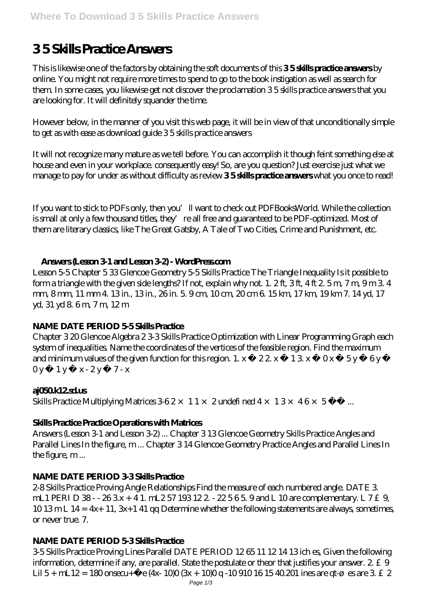# **3 5 Skills Practice Answers**

This is likewise one of the factors by obtaining the soft documents of this **3 5 skills practice answers** by online. You might not require more times to spend to go to the book instigation as well as search for them. In some cases, you likewise get not discover the proclamation 3 5 skills practice answers that you are looking for. It will definitely squander the time.

However below, in the manner of you visit this web page, it will be in view of that unconditionally simple to get as with ease as download guide 3 5 skills practice answers

It will not recognize many mature as we tell before. You can accomplish it though feint something else at house and even in your workplace. consequently easy! So, are you question? Just exercise just what we manage to pay for under as without difficulty as review **3 5 skills practice answers** what you once to read!

If you want to stick to PDFs only, then you'll want to check out PDFBooksWorld. While the collection is small at only a few thousand titles, they're all free and guaranteed to be PDF-optimized. Most of them are literary classics, like The Great Gatsby, A Tale of Two Cities, Crime and Punishment, etc.

# **Answers (Lesson 3-1 and Lesson 3-2) - WordPress.com**

Lesson 5-5 Chapter 5 33 Glencoe Geometry 5-5 Skills Practice The Triangle Inequality Is it possible to form a triangle with the given side lengths? If not, explain why not. 1. 2 ft, 3 ft, 4 ft 2. 5 m, 7 m, 9 m 3. 4 mm, 8mm, 11 mm 4. 13 in, 13 in, 26 in. 5. 9 cm, 10 cm, 20 cm 6. 15 km, 17 km, 19 km 7. 14 yd, 17 yd, 31 yd 8.6 m, 7 m, 12 m

# **NAME DATE PERIOD 5-5 Skills Practice**

Chapter 3 20 Glencoe Algebra 2 3-3 Skills Practice Optimization with Linear Programming Graph each system of inequalities. Name the coordinates of the vertices of the feasible region. Find the maximum and minimum values of the given function for this region. 1.  $x = 22x + 13x - 0x - 5y = 6y$ 0 y  $1y$  x - 2 y 7 - x

# **aj050.k12.sd.us**

Skills Practice Multiplying Matrices  $362 \times 11 \times 2$  undefi ned  $4 \times 13 \times 46 \times 5$  ...

# **Skills Practice Practice Operations with Matrices**

Answers (Lesson 3-1 and Lesson 3-2) ... Chapter 3 13 Glencoe Geometry Skills Practice Angles and Parallel Lines In the figure, m ... Chapter 3 14 Glencoe Geometry Practice Angles and Parallel Lines In the figure, m...

# **NAME DATE PERIOD 3-3 Skills Practice**

2-8 Skills Practice Proving Angle Relationships Find the measure of each numbered angle. DATE 3. mL1 PERI D  $38 - 263x + 41$ . mL2 57 193 122 - 22 5 6 5. 9 and L 10 are complementary. L 7 £9,  $1013 \text{m}$  L  $14 = 4x+11$ ,  $3x+141$  qq Determine whether the following statements are always, sometimes, or never true. 7.

# **NAME DATE PERIOD 5-3 Skills Practice**

3-5 Skills Practice Proving Lines Parallel DATE PERIOD 12 65 11 12 14 13 ich es, Given the following information, determine if any, are parallel. State the postulate or theor that justifies your answer.  $2 \pm 9$ Lil 5+ mL12=  $180$  onsecu+ $\tilde{N}$  e (4x- $100(3x + 10)0q - 10910161540201$  ines are qt-ø es are 3 £ 2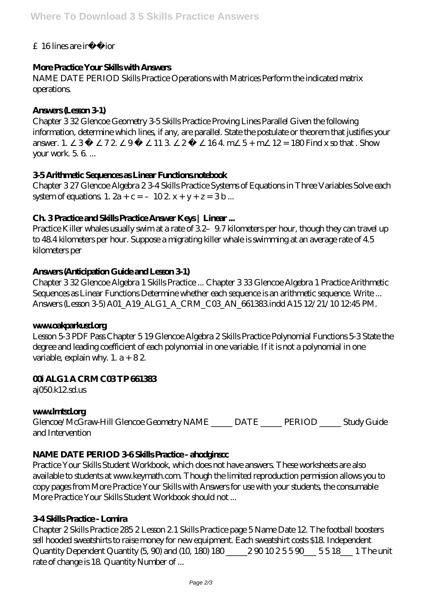# £ 16 lines are irrec ior

# More Practice Your Skills with Answers

NAME DATE PERIOD Skills Practice Operations with Matrices Perform the indicated matrix operations

# Answers (Leson 31)

Chapter 332 Glencoe Geometry 3-5 Skills Practice Proving Lines Parallel Given the following information, determine which lines, if any, are parallel. State the postulate or theorem that justifies your answer. 1.  $164 \text{ m}$  5+ m  $12 = 180$  Find x so that Show 72  $\Omega$  $11.3$ 2  $\mathcal{B}$ vour work 5 6 ...

# 35ArithmeticSequences as Linear Fundions notebook

Chapter 327 Glencoe Algebra 234 Skills Practice Systems of Equations in Three Variables Solve each system of equations 1.  $2a + c = -102x + y + z = 3b$ ...

# Ch 3Practice and Skills Practice Answer Keys | Linear...

Practice Killer whales usually swim at a rate of 32-97 kilometers per hour, though they can travel up to 48.4 kilometers per hour. Suppose a migrating killer whale is swimming at an average rate of 4.5 kilometersper

# Answers (Anticipation Guide and Lesson 31)

Chapter 332 Glencoe Algebra 1 Skills Practice ... Chapter 333 Glencoe Algebra 1 Practice Arithmetic Sequences as Linear Functions Determine whether each sequence is an arithmetic sequence. Write ... Answers (Lesson 3-5) A01\_A19\_ALG 1\_A\_CRM\_CO3\_AN\_661383 indd A15 12/21/10 12:45 PM.

# wwwadyadardag

Lesson 53PDF Pass Chapter 519 Glencoe Algebra 2 Skills Practice Polynomial Functions 53 State the degree and leading coefficient of each polynomial in one variable. If it is not a polynomial in one variable, explain why.  $1. a + 82$ 

# **OTALG1A CRMCOSTP661383**

aj050k12sd.us

# www.hrtsd.crg

Glencoe/McGraw-Hill Glencoe Geometry NAME \_\_\_\_\_\_ DATE \_\_\_\_\_\_ PERIOD \_\_\_\_\_ Study Guide and Intervention

# NAME DATE PERIOD 36Skills Practice-ahodginsod

Practice Your Skills Student Workbook, which does not have answers. These worksheets are also available to students at www.keymath.com Though the limited reproduction permission allows you to copy pages from More Practice Your Skills with Answers for use with your students, the consumable More Practice Your Skills Student Workbook should not...

# **34 Skills Practice - Lonira**

Chapter 2 Skills Practice 285 2 Lesson 2 1 Skills Practice page 5 Name Date 12 The football boosters sell hooded sweatshirts to raise money for new equipment. Each sweatshirt costs \$18 Independent Quantity Dependent Quantity (5, 90) and (10, 180) 180 \_\_\_\_\_\_ 290 1025590 \_\_\_\_ 5518 \_\_\_\_ 1 The unit rate of change is 18 Quantity Number of ...